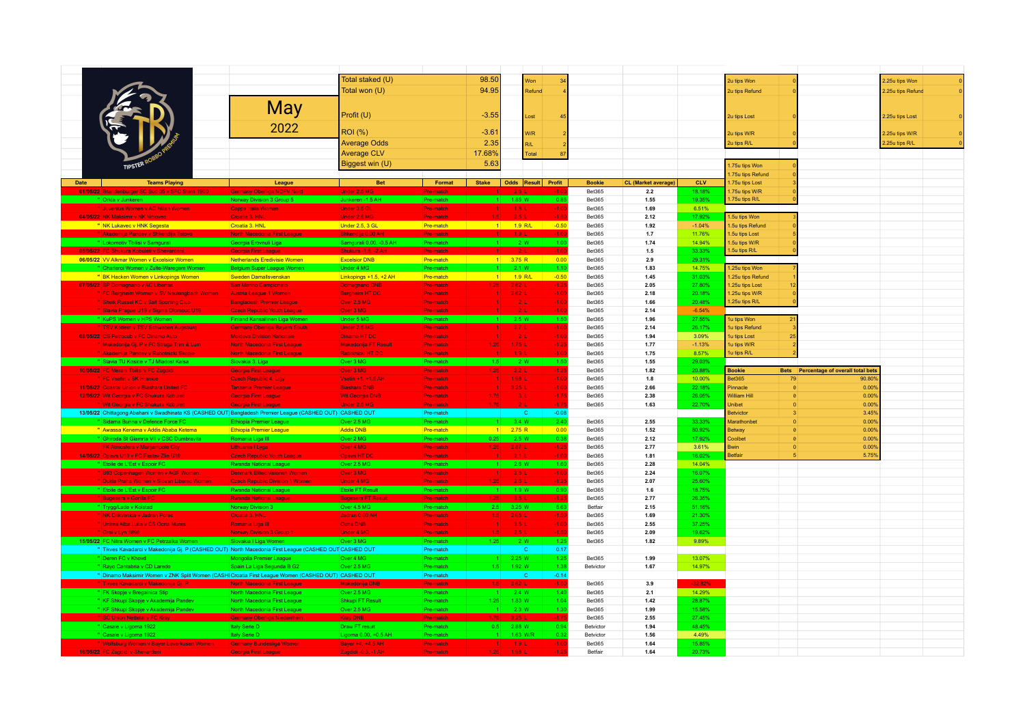|                                                                                                            |                                                  | Total staked (U)                         |                        | 98.50             |                     |                        |         |                                 |                            |                  |                     |          |                                              |                   |
|------------------------------------------------------------------------------------------------------------|--------------------------------------------------|------------------------------------------|------------------------|-------------------|---------------------|------------------------|---------|---------------------------------|----------------------------|------------------|---------------------|----------|----------------------------------------------|-------------------|
|                                                                                                            |                                                  |                                          |                        |                   |                     | Won                    |         |                                 |                            |                  | 2u tips Won         |          |                                              | 2.25u tips Won    |
|                                                                                                            |                                                  | Total won (U)                            |                        | 94.95             |                     | Refund                 |         |                                 |                            |                  | 2u tips Refund      |          |                                              | 2.25u tips Refund |
|                                                                                                            |                                                  |                                          |                        |                   |                     |                        |         |                                 |                            |                  |                     |          |                                              |                   |
|                                                                                                            | <b>May</b>                                       |                                          |                        |                   |                     |                        |         |                                 |                            |                  |                     |          |                                              |                   |
|                                                                                                            |                                                  | Profit (U)                               |                        | $-3.55$           |                     | Lost                   |         |                                 |                            |                  | 2u tips Lost        |          |                                              | 2.25u tips Lost   |
|                                                                                                            | 2022                                             |                                          |                        |                   |                     |                        |         |                                 |                            |                  |                     |          |                                              |                   |
|                                                                                                            |                                                  | <b>ROI</b> (%)                           |                        | $-3.61$           |                     | <b>W/R</b>             |         |                                 |                            |                  | 2u tips W/R         |          |                                              | 2.25u tips W/R    |
|                                                                                                            |                                                  | <b>Average Odds</b>                      |                        |                   |                     |                        |         |                                 |                            |                  |                     |          |                                              |                   |
|                                                                                                            |                                                  |                                          |                        | 2.35              |                     | R/L                    |         |                                 |                            |                  | 2u tips R/L         |          |                                              | 2.25u tips R/L    |
|                                                                                                            |                                                  | <b>Average CLV</b>                       |                        | 17.68%            |                     | Total                  | 87      |                                 |                            |                  |                     |          |                                              |                   |
|                                                                                                            |                                                  | Biggest win (U)                          |                        | 5.63              |                     |                        |         |                                 |                            |                  | .75u tips Won       |          |                                              |                   |
|                                                                                                            |                                                  |                                          |                        |                   |                     |                        |         |                                 |                            |                  | .75u tips Refund    |          |                                              |                   |
|                                                                                                            |                                                  |                                          |                        |                   |                     |                        |         |                                 |                            |                  |                     |          |                                              |                   |
| Date<br><b>Teams Playing</b>                                                                               | League                                           | <b>Bet</b>                               | Format                 | <b>Stake</b>      |                     | Odds   Result   Profit |         | <b>Bookie</b>                   | <b>CL</b> (Market average) | CLV              | .75u tips Lost      |          |                                              |                   |
| 01/05/22 Brandenburger SC Sud 05 v SFC Stern 1900                                                          | <b>Germany Oberliga NOFV Nord</b>                | Under 2.5 MG                             | <b>Pre-mato</b>        |                   |                     |                        |         | <b>Bet365</b>                   | $2.2\,$                    | 18.18%           | .75u tips W/R       |          |                                              |                   |
|                                                                                                            |                                                  | Junkeren -1.5 AH                         | Pre-matcl              |                   | 1.85 W              |                        | 0.8     | <b>Bet365</b>                   | 1.55                       | 19.35%           | .75u tips R/L       |          |                                              |                   |
| " Juventus Women v AC Milan Women                                                                          | Coppa Italia Women                               | Under 3.5 GL                             | Pre-match              | 1 <sup>1</sup>    | $1.8$ L             |                        | $-1.0$  | <b>Bet365</b>                   | 1.69                       | 6.51%            |                     |          |                                              |                   |
| 04/05/22 NK Maksimir v NK Vrbovec                                                                          | Croatia 3. HNL                                   | Under 2.5 MG                             | Pre-match              | 1.5               | $2.5 \pm$           |                        |         | <b>Bet365</b>                   | 2.12                       | 17.92%           | .5u tips Won        |          |                                              |                   |
| " NK Lukavec v HNK Segesta                                                                                 | Croatia 3. HNL                                   | Under 2.5, 3 GL                          | Pre-match              | $-1$              | 1.9 R/L             |                        | $-0.50$ | <b>Bet365</b>                   | 1.92                       | $-1.04%$         | .5u tips Refund     |          |                                              |                   |
|                                                                                                            |                                                  |                                          |                        |                   |                     |                        |         | <b>Bet365</b>                   | 1.7                        | 11.76%           | .5u tips Lost       |          |                                              |                   |
| " Lokomotiv Tbilisi v Samgurali                                                                            | Georgia Erovnuli Liga                            | Samgurali 0.00, -0.5 AH                  | Pre-match              | $1 -$             |                     | 2 W                    | $-1.00$ | <b>Bet365</b>                   | 1.74                       | 14.94%           | .5u tips W/R        |          |                                              |                   |
| 05/05/22 FC Shukura Kobuleti v Shevarder                                                                   | Georgia First League                             | <b>Shukura -1.5. -2 AH</b>               | <b>Pre-mato</b>        |                   |                     |                        |         | <b>Bet365</b>                   | $1.5\,$                    | 33.33%           | .5u tips R/L        |          |                                              |                   |
| 06/05/22 VV Alkmar Women v Excelsior Women                                                                 | Netherlands Eredivisie Women                     | <b>Excelsior DNB</b>                     | Pre-match              |                   | $1$ 3.75 R          |                        | 0.00    | <b>Bet365</b>                   | 2.9                        | 29.31%           |                     |          |                                              |                   |
| " Charleroi Women v Zulte-Waregem Women                                                                    | <b>Belgium Super League Women</b>                | Under 4 MG                               | Pre-match              |                   | 2.1 W               |                        |         | <b>Bet365</b>                   | 1.83                       | 14.75%           | 1.25u tips Won      |          |                                              |                   |
|                                                                                                            |                                                  |                                          |                        |                   |                     |                        |         |                                 |                            |                  |                     |          |                                              |                   |
| " BK Hacken Women v Linkopings Women                                                                       | Sweden Damallsvenskan                            | Linkopings +1.5, +2 AH                   | Pre-match              | 1                 | $1.9$ R/L           |                        | $-0.50$ | <b>Bet365</b>                   | 1.45                       | 31.03%           | .25u tips Refund    |          |                                              |                   |
| 07/05/22 SP Domagnano v AC Libertas                                                                        | San Marino Campionato                            | <b>Domagnano DNB</b>                     | Pre-match              | $1.25 -$          | $2.62$ <sub>L</sub> |                        | $-1.2$  | <b>Bet365</b>                   | 2.05                       | 27.80%           | .25u tips Lost      |          |                                              |                   |
| FC Bergheim Women v SV Neulengbach Women                                                                   | <b>Austria League 1 Women</b>                    | <b>Bergheim HT DC</b>                    | Pre-match              |                   | $2.62$ L            |                        | $-1.0$  | <b>Bet365</b>                   | 2.18                       | 20.18%           | .25u tips W/R       |          |                                              |                   |
| " Sheik Russel KC v Saif Sporting Club                                                                     | <b>Bangladesh Premier League</b>                 | Over 2.5 MG                              | Pre-match              |                   | 2L                  |                        | $-1.00$ | <b>Bet365</b>                   | 1.66                       | 20.48%           | .25u tips R/L       |          |                                              |                   |
| " Slavia Prague U19 v Sigma Olomouc U19                                                                    | rech Republic Youth Lead                         | Over 3 MG                                | Pre-matcl              |                   |                     |                        |         | <b>Bet365</b>                   | 2.14                       | $-6.54%$         |                     |          |                                              |                   |
|                                                                                                            |                                                  | Under 5 MG                               | Pre-matcl              |                   | 2.5 W               |                        | 1.5     | <b>Bet365</b>                   | 1.96                       | 27.55%           | u tips Won          |          |                                              |                   |
| " TSV Kottern v TSV Schwaben Augsburg                                                                      | <b>Germany Oberliga Bayern South</b>             | Under 2.5 MG                             | Pre-match              |                   | 2.7L                |                        | $-1.0$  | <b>Bet365</b>                   | 2.14                       | 26.17%           | u tips Refund       |          |                                              |                   |
| 08/05/22 CS Petrocub v FC Dinamo Auto                                                                      | <b>Moldova Division Nationale</b>                | <b>Dinamo HT DC</b>                      | Pre-match              |                   | 2L                  |                        | $-1.0$  | <b>Bet365</b>                   | 1.94                       | 3.09%            | u tips Lost         |          |                                              |                   |
| " Makedonija Gj. P v FC Struga Trim & Lum                                                                  | <b>North Macedonia First League</b>              | Makedonija FT Result                     | Pre-match              | 1.25 <sub>1</sub> | 1.75L               |                        | $-12$   | <b>Bet365</b>                   | 1.77                       | $-1.13%$         | u tips W/R          |          |                                              |                   |
|                                                                                                            |                                                  |                                          |                        |                   |                     |                        |         |                                 |                            |                  | lu tips R/L         |          |                                              |                   |
| " Akademija Pandev v Rabotnicki Skopje                                                                     | North Macedonia First League                     | Rabotnicki HT DC                         | Pre-match              |                   |                     |                        |         | <b>Bet365</b>                   | 1.75                       | 8.57%            |                     |          |                                              |                   |
| " Slavia TU Kosice v TJ Mladost Kalsa                                                                      | Slovakia 3. Liga                                 | Over 3 MG                                | Pre-match              | 1.5               | 2 W                 |                        | 1.50    | <b>Bet365</b>                   | 1.55                       | 29.03%           |                     |          |                                              |                   |
|                                                                                                            |                                                  |                                          |                        |                   |                     |                        |         |                                 |                            |                  |                     |          |                                              |                   |
| 10/05/22 FC Merani Tbilisi v FC Zugdidi                                                                    | Georgia First League                             | Over 3 MG                                | Pre-match              | 1.25              | 2.2 L               |                        | -1.2    | <b>Bet365</b>                   | 1.82                       | 20.88%           | <b>Bookie</b>       |          | <b>Bets</b> Percentage of overall total bets |                   |
| <b>FC Vsetin v SK Hranice</b>                                                                              | Czech Republic 4. Ligy                           | <b>Vsetin +1, +1,5 AH</b>                | Pre-match              |                   | $1.98$ <sub>L</sub> |                        | $-1.0$  | <b>Bet365</b>                   | 1.8                        | 10.00%           | <b>3et365</b>       | 79       | 90.80%                                       |                   |
| 11/05/22 Coastal Union v Biashara United FC                                                                | <b>Tanzania Premier League</b>                   | <b>Biashara DNB</b>                      | Pre-match              |                   | 3.25L               |                        | $-1.00$ | <b>Bet365</b>                   | 2.66                       | 22.18%           | innacle             |          | 0.00%                                        |                   |
| 12/05/22 Wit Georgia v FC Shukura Kobuleti                                                                 | Georgia First League                             | <b>Wit Georgia DNB</b>                   | Pre-match              | 1.75              | 3L                  |                        | $-1.75$ | <b>Bet365</b>                   | 2.38                       | 26.05%           | <b>Nilliam Hill</b> |          | 0.00%                                        |                   |
|                                                                                                            |                                                  |                                          |                        |                   |                     |                        |         | <b>Bet365</b>                   | 1.63                       | 22.70%           | Jnibet              | $\Omega$ | 0.00%                                        |                   |
|                                                                                                            |                                                  |                                          |                        |                   |                     |                        |         |                                 |                            |                  |                     |          |                                              |                   |
| 13/05/22 Chittagong Abahani v Swadhinata KS (CASHED OUT) Bangladesh Premier League (CASHED OUT) CASHED OUT |                                                  |                                          | Pre-match              |                   |                     | IC.                    | $-0.08$ |                                 |                            |                  | <b>Betvictor</b>    |          | 3.45%                                        |                   |
| " Sidama Bunna v Defence Force FC                                                                          | <b>Ethiopia Premier League</b>                   | Over 2.5 MG                              | Pre-match              | $-1$              | 3.4 W               |                        | 2.40    | Bet365                          | 2.55                       | 33.33%           | Marathonbet         |          | 0.00%                                        |                   |
| " Awassa Kenema v Addis Ababa Ketema                                                                       | Ethiopia Premier League                          | <b>Addis DNB</b>                         | Pre-match              |                   | $1$ 2.75 R          |                        | 0.00    | <b>Bet365</b>                   | 1.52                       | 80.92%           | <b>Betway</b>       |          | 0.00%                                        |                   |
| " Ghiroda St Giamrta VII v CSC Dumbravita                                                                  | Romania Liga III                                 | Over 2 MG                                | Pre-match              | 0.25              | 2.5 W               |                        | 0.3     | <b>Bet365</b>                   | 2.12                       | 17.92%           | Coolbet             |          | 0.00%                                        |                   |
| <b>FK Atmosfera v Marijampole City</b>                                                                     | Lithuania I Lyga                                 | Over 4 MG                                | Pre-match              | $1.25 -$          | 2.87L               |                        | $-1.2$  | <b>Bet365</b>                   | 2.77                       | 3.61%            | <b>Swin</b>         |          | 0.00%                                        |                   |
| 14/05/22 Opava U19 v FC Fastav Zlin U19                                                                    | Czech Rep                                        | Opava HT D                               | Pre-match              |                   |                     |                        |         | <b>Bet365</b>                   | 1.81                       | 16.02%           | <b>Setfair</b>      |          | 5.75%                                        |                   |
| " Etoile de L'Est v Espoir FC                                                                              | Rwanda National League                           | Over 2.5 MG                              | Pre-match              | 1 <sup>1</sup>    | 2.6 W               |                        | $-1.60$ | <b>Bet365</b>                   | 2.28                       | 14.04%           |                     |          |                                              |                   |
| " B93 Copenhagen Women v AGF Women                                                                         | Denmark Elitedivisionen Women                    | Over 3 MG                                | Pre-match              |                   | 2.6 L               |                        | $-1.0$  | <b>Bet365</b>                   | 2.24                       | 16.07%           |                     |          |                                              |                   |
| " Dukla Praha Women v Slovan Liberec Wome                                                                  | <b>Czech Republic Division 1 Wome</b>            | <b>Under 4 MG</b>                        | Pre-match              |                   | 2.6                 |                        |         | <b>Bet365</b>                   | 2.07                       | 25.60%           |                     |          |                                              |                   |
| " Etoile de L'Est v Espoir FC                                                                              | <b>Rwanda National League</b>                    | <b>Ffolle FT Res</b>                     | Pre-match              |                   | 1.9 W               |                        | 0.9     | <b>Bet365</b>                   | 1.6                        | 18.75%           |                     |          |                                              |                   |
| " Bugesera v Gorilla FC                                                                                    | <b>Rwanda National League</b>                    | <b>Bugesera FT Resul</b>                 | Pre-match              | $1.25 - 1.$       | $-251$              |                        |         | <b>Bet365</b>                   | 2.77                       | 26.35%           |                     |          |                                              |                   |
|                                                                                                            |                                                  |                                          | Pre-matcl              |                   |                     |                        | 5.63    | Betfair                         | 2.15                       | 51.16%           |                     |          |                                              |                   |
| Trygg/Lade v Kolstad                                                                                       | Norway Divis                                     | Over 4.5 MG                              |                        | 2.5               | 3.25 W              |                        |         |                                 |                            |                  |                     |          |                                              |                   |
| NK Crikvenica v Jadran Porec                                                                               | Croatia 3. HNL                                   | Jadran 0.00 AH                           | <b>Pre-match</b>       | $1.5 -$           | $2.05$ L            |                        |         | <b>Bet365</b>                   | 1.69                       | 21.30%           |                     |          |                                              |                   |
| " Unirea Alba Lulia v CS Ocna Mures                                                                        | Romania Liga III                                 | <b>Ocna DNB</b>                          | Pre-match              | $\blacksquare$    | 3.5L                |                        | $-1.0$  | <b>Bet365</b>                   | 2.55                       | 37.25%           |                     |          |                                              |                   |
|                                                                                                            |                                                  | <b>Under 4 MC</b>                        | Pre-match              |                   | 251                 |                        |         | <b>Bet365</b>                   | 2.09                       | 19.62%           |                     |          |                                              |                   |
| 15/05/22 FC Nitra Women v FC Petrzalka Women                                                               | Slovakia I Liga Women                            | Over 3 MG                                | Pre-match              | 1.25              | 2W                  |                        | 121     | <b>Bet365</b>                   | 1.82                       | 9.89%            |                     |          |                                              |                   |
| " Tikves Kavadarci v Makedonija Gj. P (CASHED OUT) North Macedonia First League (CASHED OUT CASHED OUT     |                                                  |                                          | Pre-match              |                   |                     |                        | 0.17    |                                 |                            |                  |                     |          |                                              |                   |
| " Deren FC v Khovd                                                                                         | Mongolia Premier League                          | Over 4 MG                                | Pre-match              | $1 -$             | 2.25 W              |                        | 1.25    | Bet365                          | 1.99                       | 13.07%           |                     |          |                                              |                   |
| " Rayo Cantabria v CD Laredo                                                                               | Spain La Liga Segunda B G2                       | Over 2.5 MG                              | Pre-match              | 1.5               | 1.92 W              |                        | 1.38    | <b>Betvictor</b>                | 1.67                       | 14.97%           |                     |          |                                              |                   |
| " Dinamo Maksimir Women v ZNK Split Women (CASHI Croatia First League Women (CASHED OUT) CASHED OUT        |                                                  |                                          | Pre-match              |                   |                     |                        | $-0.14$ |                                 |                            |                  |                     |          |                                              |                   |
| " Tikves Kavadarci v Makedonija Gj. P                                                                      | North Macedonia First League                     | <b>Makedonija DNE</b>                    | <b>Pre-match</b>       |                   | $1.5$ $2.62$ L      |                        | $-1.50$ | Bet365                          | 3.9                        | $-32.82\%$       |                     |          |                                              |                   |
| " FK Skopje v Bregalnica Stip                                                                              | North Macedonia First League                     | Over 2.5 MG                              | Pre-match              |                   | 2.4 W               |                        | 1.40    | <b>Bet365</b>                   | 2.1                        |                  |                     |          |                                              |                   |
|                                                                                                            |                                                  |                                          |                        |                   |                     |                        |         |                                 |                            | 14.29%           |                     |          |                                              |                   |
| " KF Shkupi Skopje v Akademija Pandev                                                                      | North Macedonia First League                     | Shkupi FT Result                         | Pre-match              | 1.25              | $1.83$ W            |                        | 1.04    | <b>Bet365</b>                   | 1.42                       | 28.87%           |                     |          |                                              |                   |
| " KF Shkupi Skopje v Akademija Pande                                                                       | North Macedonia First Leagu                      | Over 2.5 MG                              | Pre-matcl              |                   | 2.3 W               |                        |         | <b>Bet365</b>                   | 1.99                       | 15.58%           |                     |          |                                              |                   |
| SC Union Nettetal v FC Kray                                                                                |                                                  | Kray DNB                                 | Pre-matc               |                   |                     |                        |         | Bet365                          | 2.55                       | 27.45%           |                     |          |                                              |                   |
| " Casale v Ligorna 1922                                                                                    | Italy Serie D                                    | Draw FT result                           | Pre-match              |                   | $0.5$ 2.88 W        |                        | 0.94    | Betvictor                       | 1.94                       | 48.45%           |                     |          |                                              |                   |
| " Casale v Ligorna 1922                                                                                    | <b>Italy Serie D</b>                             | Ligorna 0.00, +0.5 AH                    | Pre-matcl              |                   | 1.63 W/             |                        | 0.3     | Betvictor                       | 1.56                       | 4.49%            |                     |          |                                              |                   |
| " Wolfsburg Women v Bayer Leverkusen Women<br>16/05/22 FC Zugdidi v Shevardeni                             | Germany Bundesliga Women<br>Georgia First League | Bayer +4, +4.5 AH<br>Zugdidi -0.5, -1 AH | Pre-match<br>Pre-match | $1.25 -$          | 1.9L<br>1.98L       |                        | $-1.0$  | <b>Bet365</b><br><b>Betfair</b> | 1.64<br>1.64               | 15.85%<br>20.73% |                     |          |                                              |                   |